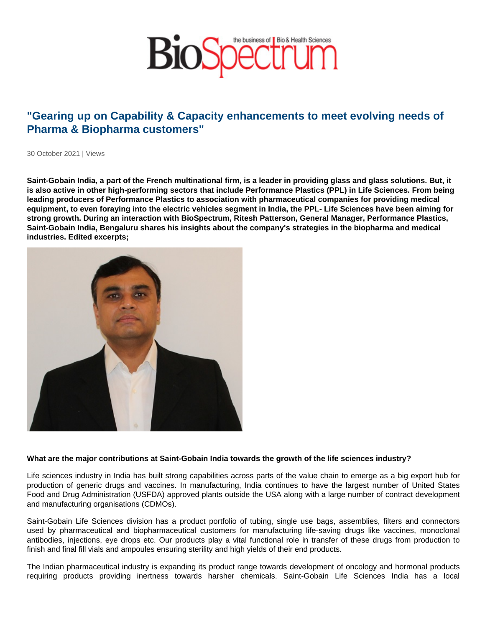# "Gearing up on Capability & Capacity enhancements to meet evolving needs of Pharma & Biopharma customers"

30 October 2021 | Views

Saint-Gobain India, a part of the French multinational firm, is a leader in providing glass and glass solutions. But, it is also active in other high-performing sectors that include Performance Plastics (PPL) in Life Sciences. From being leading producers of Performance Plastics to association with pharmaceutical companies for providing medical equipment, to even foraying into the electric vehicles segment in India, the PPL- Life Sciences have been aiming for strong growth. During an interaction with BioSpectrum, Ritesh Patterson, General Manager, Performance Plastics, Saint-Gobain India, Bengaluru shares his insights about the company's strategies in the biopharma and medical industries. Edited excerpts;

What are the major contributions at Saint-Gobain India towards the growth of the life sciences industry?

Life sciences industry in India has built strong capabilities across parts of the value chain to emerge as a big export hub for production of generic drugs and vaccines. In manufacturing, India continues to have the largest number of United States Food and Drug Administration (USFDA) approved plants outside the USA along with a large number of contract development and manufacturing organisations (CDMOs).

Saint-Gobain Life Sciences division has a product portfolio of tubing, single use bags, assemblies, filters and connectors used by pharmaceutical and biopharmaceutical customers for manufacturing life-saving drugs like vaccines, monoclonal antibodies, injections, eye drops etc. Our products play a vital functional role in transfer of these drugs from production to finish and final fill vials and ampoules ensuring sterility and high yields of their end products.

The Indian pharmaceutical industry is expanding its product range towards development of oncology and hormonal products requiring products providing inertness towards harsher chemicals. Saint-Gobain Life Sciences India has a local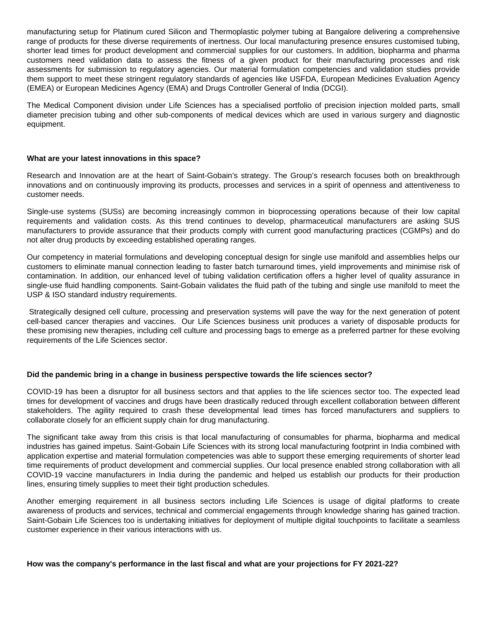manufacturing setup for Platinum cured Silicon and Thermoplastic polymer tubing at Bangalore delivering a comprehensive range of products for these diverse requirements of inertness. Our local manufacturing presence ensures customised tubing, shorter lead times for product development and commercial supplies for our customers. In addition, biopharma and pharma customers need validation data to assess the fitness of a given product for their manufacturing processes and risk assessments for submission to regulatory agencies. Our material formulation competencies and validation studies provide them support to meet these stringent regulatory standards of agencies like USFDA, European Medicines Evaluation Agency (EMEA) or European Medicines Agency (EMA) and Drugs Controller General of India (DCGI).

The Medical Component division under Life Sciences has a specialised portfolio of precision injection molded parts, small diameter precision tubing and other sub-components of medical devices which are used in various surgery and diagnostic equipment.

## **What are your latest innovations in this space?**

Research and Innovation are at the heart of Saint-Gobain's strategy. The Group's research focuses both on breakthrough innovations and on continuously improving its products, processes and services in a spirit of openness and attentiveness to customer needs.

Single-use systems (SUSs) are becoming increasingly common in bioprocessing operations because of their low capital requirements and validation costs. As this trend continues to develop, pharmaceutical manufacturers are asking SUS manufacturers to provide assurance that their products comply with current good manufacturing practices (CGMPs) and do not alter drug products by exceeding established operating ranges.

Our competency in material formulations and developing conceptual design for single use manifold and assemblies helps our customers to eliminate manual connection leading to faster batch turnaround times, yield improvements and minimise risk of contamination. In addition, our enhanced level of tubing validation certification offers a higher level of quality assurance in single-use fluid handling components. Saint-Gobain validates the fluid path of the tubing and single use manifold to meet the USP & ISO standard industry requirements.

 Strategically designed cell culture, processing and preservation systems will pave the way for the next generation of potent cell-based cancer therapies and vaccines. Our Life Sciences business unit produces a variety of disposable products for these promising new therapies, including cell culture and processing bags to emerge as a preferred partner for these evolving requirements of the Life Sciences sector.

## **Did the pandemic bring in a change in business perspective towards the life sciences sector?**

COVID-19 has been a disruptor for all business sectors and that applies to the life sciences sector too. The expected lead times for development of vaccines and drugs have been drastically reduced through excellent collaboration between different stakeholders. The agility required to crash these developmental lead times has forced manufacturers and suppliers to collaborate closely for an efficient supply chain for drug manufacturing.

The significant take away from this crisis is that local manufacturing of consumables for pharma, biopharma and medical industries has gained impetus. Saint-Gobain Life Sciences with its strong local manufacturing footprint in India combined with application expertise and material formulation competencies was able to support these emerging requirements of shorter lead time requirements of product development and commercial supplies. Our local presence enabled strong collaboration with all COVID-19 vaccine manufacturers in India during the pandemic and helped us establish our products for their production lines, ensuring timely supplies to meet their tight production schedules.

Another emerging requirement in all business sectors including Life Sciences is usage of digital platforms to create awareness of products and services, technical and commercial engagements through knowledge sharing has gained traction. Saint-Gobain Life Sciences too is undertaking initiatives for deployment of multiple digital touchpoints to facilitate a seamless customer experience in their various interactions with us.

### **How was the company's performance in the last fiscal and what are your projections for FY 2021-22?**